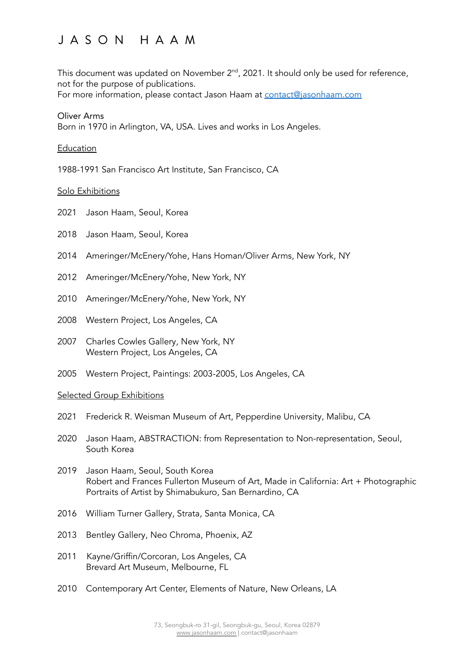# JASON HAAM

This document was updated on November 2 $^{\mathsf{nd}}$ , 2021. It should only be used for reference, not for the purpose of publications.

For more information, please contact Jason Haam at [contact@jasonhaam.com](mailto:contact@jasonhaam.com)

#### Oliver Arms Born in 1970 in Arlington, VA, USA. Lives and works in Los Angeles.

# Education

1988-1991 San Francisco Art Institute, San Francisco, CA

# Solo Exhibitions

- 2021 Jason Haam, Seoul, Korea
- 2018 Jason Haam, Seoul, Korea
- 2014 Ameringer/McEnery/Yohe, Hans Homan/Oliver Arms, New York, NY
- 2012 Ameringer/McEnery/Yohe, New York, NY
- 2010 Ameringer/McEnery/Yohe, New York, NY
- 2008 Western Project, Los Angeles, CA
- 2007 Charles Cowles Gallery, New York, NY Western Project, Los Angeles, CA
- 2005 Western Project, Paintings: 2003-2005, Los Angeles, CA

#### Selected Group Exhibitions

- 2021 Frederick R. Weisman Museum of Art, Pepperdine University, Malibu, CA
- 2020 Jason Haam, ABSTRACTION: from Representation to Non-representation, Seoul, South Korea
- 2019 Jason Haam, Seoul, South Korea Robert and Frances Fullerton Museum of Art, Made in California: Art + Photographic Portraits of Artist by Shimabukuro, San Bernardino, CA
- 2016 William Turner Gallery, Strata, Santa Monica, CA
- 2013 Bentley Gallery, Neo Chroma, Phoenix, AZ
- 2011 Kayne/Griffin/Corcoran, Los Angeles, CA Brevard Art Museum, Melbourne, FL
- 2010 Contemporary Art Center, Elements of Nature, New Orleans, LA